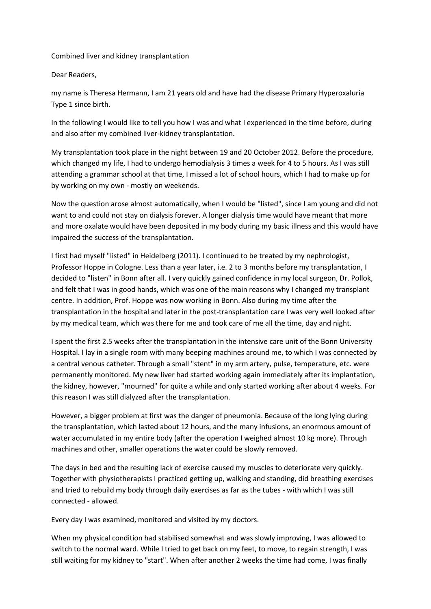Combined liver and kidney transplantation

Dear Readers,

my name is Theresa Hermann, I am 21 years old and have had the disease Primary Hyperoxaluria Type 1 since birth.

In the following I would like to tell you how I was and what I experienced in the time before, during and also after my combined liver-kidney transplantation.

My transplantation took place in the night between 19 and 20 October 2012. Before the procedure, which changed my life, I had to undergo hemodialysis 3 times a week for 4 to 5 hours. As I was still attending a grammar school at that time, I missed a lot of school hours, which I had to make up for by working on my own - mostly on weekends.

Now the question arose almost automatically, when I would be "listed", since I am young and did not want to and could not stay on dialysis forever. A longer dialysis time would have meant that more and more oxalate would have been deposited in my body during my basic illness and this would have impaired the success of the transplantation.

I first had myself "listed" in Heidelberg (2011). I continued to be treated by my nephrologist, Professor Hoppe in Cologne. Less than a year later, i.e. 2 to 3 months before my transplantation, I decided to "listen" in Bonn after all. I very quickly gained confidence in my local surgeon, Dr. Pollok, and felt that I was in good hands, which was one of the main reasons why I changed my transplant centre. In addition, Prof. Hoppe was now working in Bonn. Also during my time after the transplantation in the hospital and later in the post-transplantation care I was very well looked after by my medical team, which was there for me and took care of me all the time, day and night.

I spent the first 2.5 weeks after the transplantation in the intensive care unit of the Bonn University Hospital. I lay in a single room with many beeping machines around me, to which I was connected by a central venous catheter. Through a small "stent" in my arm artery, pulse, temperature, etc. were permanently monitored. My new liver had started working again immediately after its implantation, the kidney, however, "mourned" for quite a while and only started working after about 4 weeks. For this reason I was still dialyzed after the transplantation.

However, a bigger problem at first was the danger of pneumonia. Because of the long lying during the transplantation, which lasted about 12 hours, and the many infusions, an enormous amount of water accumulated in my entire body (after the operation I weighed almost 10 kg more). Through machines and other, smaller operations the water could be slowly removed.

The days in bed and the resulting lack of exercise caused my muscles to deteriorate very quickly. Together with physiotherapists I practiced getting up, walking and standing, did breathing exercises and tried to rebuild my body through daily exercises as far as the tubes - with which I was still connected - allowed.

Every day I was examined, monitored and visited by my doctors.

When my physical condition had stabilised somewhat and was slowly improving, I was allowed to switch to the normal ward. While I tried to get back on my feet, to move, to regain strength, I was still waiting for my kidney to "start". When after another 2 weeks the time had come, I was finally